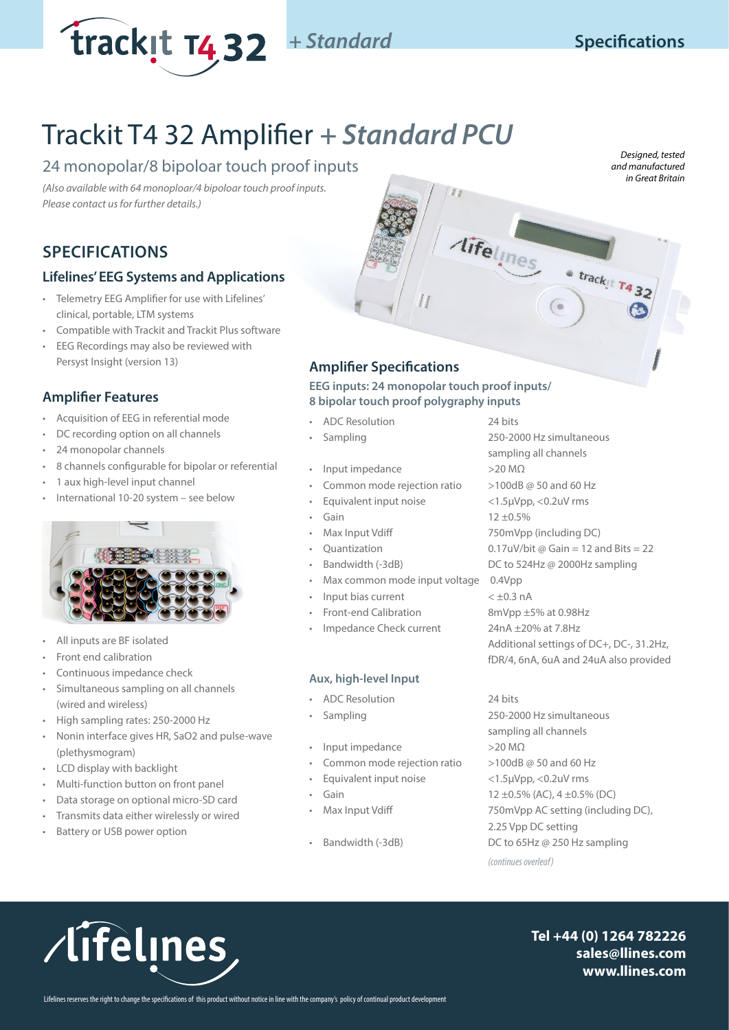

**Specifications**

# Trackit T4 32 Amplifier *+ Standard PCU*

# 24 monopolar/8 bipoloar touch proof inputs

*(Also available with 64 monoploar/4 bipoloar touch proof inputs. Please contact us for further details.)*

# **SPECIFICATIONS**

### **Lifelines' EEG Systems and Applications**

- Telemetry EEG Amplifier for use with Lifelines' clinical, portable, LTM systems
- Compatible with Trackit and Trackit Plus software
- EEG Recordings may also be reviewed with Persyst Insight (version 13)

## **Amplifier Features**

- Acquisition of EEG in referential mode
- DC recording option on all channels
- 24 monopolar channels
- 8 channels configurable for bipolar or referential
- 1 aux high-level input channel
- International 10-20 system see below



- All inputs are BF isolated
- Front end calibration
- Continuous impedance check
- Simultaneous sampling on all channels (wired and wireless)
- High sampling rates: 250-2000 Hz
- Nonin interface gives HR, SaO2 and pulse-wave (plethysmogram)
- LCD display with backlight
- Multi-function button on front panel
- Data storage on optional micro-SD card
- Transmits data either wirelessly or wired
- Battery or USB power option

# **Amplifier Specifications**

### **EEG inputs: 24 monopolar touch proof inputs/ 8 bipolar touch proof polygraphy inputs**

- ADC Resolution 24 bits
- 
- Input impedance >20 MΩ
- Common mode rejection ratio >100dB @ 50 and 60 Hz
- Equivalent input noise <1.5µVpp, <0.2uV rms
- 
- 
- 
- 
- Max common mode input voltage 0.4Vpp
- Input bias current  $\lt \pm 0.3$  nA
- 
- Impedance Check current 24nA ±20% at 7.8Hz

### **Aux, high-level Input**

- ADC Resolution 24 bits
- 
- Input impedance >20 MΩ
- Common mode rejection ratio  $>100$ dB @ 50 and 60 Hz
- Equivalent input noise <1.5µVpp, <0.2uV rms
- 
- 
- 

• Sampling 250-2000 Hz simultaneous sampling all channels Gain 12 ±0.5% • Max Input Vdiff 750mVpp (including DC) Quantization  $0.17uV/b$ it @ Gain = 12 and Bits = 22 • Bandwidth (-3dB) DC to 524Hz @ 2000Hz sampling • Front-end Calibration 8mVpp ±5% at 0.98Hz Additional settings of DC+, DC-, 31.2Hz, fDR/4, 6nA, 6uA and 24uA also provided

Aifelines trackit T432

• Sampling 250-2000 Hz simultaneous sampling all channels • Gain 12 ±0.5% (AC), 4 ±0.5% (DC) • Max Input Vdiff 750mVpp AC setting (including DC), 2.25 Vpp DC setting • Bandwidth (-3dB) DC to 65Hz @ 250 Hz sampling *(continues overleaf)*

/lifelines

**Tel +44 (0) 1264 782226 sales@llines.com www.llines.com**

*Designed, tested and manufactured in Great Britain*